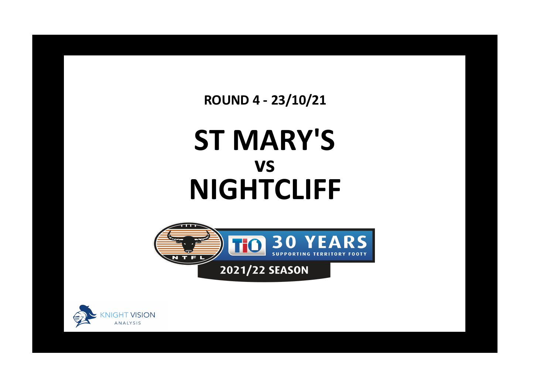**ROUND 4 - 23/10/21**

## **ST MARY'S NIGHTCLIFF vs**



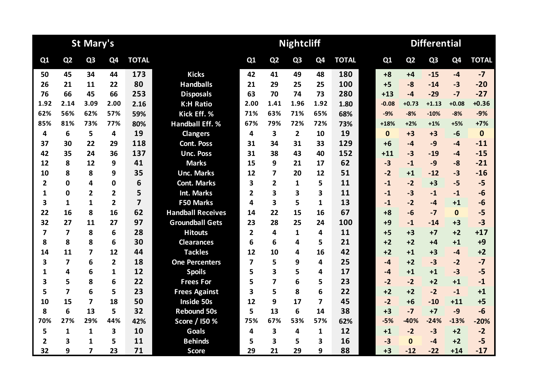|                         |                         | <b>St Mary's</b>        |                |                |                          |                         |                         | <b>Nightcliff</b> |                |              | <b>Differential</b> |                |                |                |              |  |  |
|-------------------------|-------------------------|-------------------------|----------------|----------------|--------------------------|-------------------------|-------------------------|-------------------|----------------|--------------|---------------------|----------------|----------------|----------------|--------------|--|--|
| Q1                      | Q <sub>2</sub>          | Q <sub>3</sub>          | Q4             | <b>TOTAL</b>   |                          | Q1                      | Q <sub>2</sub>          | Q <sub>3</sub>    | Q <sub>4</sub> | <b>TOTAL</b> | Q1                  | Q <sub>2</sub> | Q <sub>3</sub> | Q <sub>4</sub> | <b>TOTAL</b> |  |  |
| 50                      | 45                      | 34                      | 44             | 173            | <b>Kicks</b>             | 42                      | 41                      | 49                | 48             | 180          | $+8$                | $+4$           | $-15$          | $-4$           | $-7$         |  |  |
| 26                      | 21                      | 11                      | 22             | 80             | <b>Handballs</b>         | 21                      | 29                      | 25                | 25             | 100          | $+5$                | $-8$           | $-14$          | $-3$           | $-20$        |  |  |
| 76                      | 66                      | 45                      | 66             | 253            | <b>Disposals</b>         | 63                      | 70                      | 74                | 73             | 280          | $+13$               | $-4$           | $-29$          | $-7$           | $-27$        |  |  |
| 1.92                    | 2.14                    | 3.09                    | 2.00           | 2.16           | <b>K:H Ratio</b>         | 2.00                    | 1.41                    | 1.96              | 1.92           | 1.80         | $-0.08$             | $+0.73$        | $+1.13$        | $+0.08$        | $+0.36$      |  |  |
| 62%                     | 56%                     | 62%                     | 57%            | 59%            | Kick Eff. %              | 71%                     | 63%                     | 71%               | 65%            | 68%          | $-9%$               | $-8%$          | $-10%$         | $-8%$          | $-9%$        |  |  |
| 85%                     | 81%                     | 73%                     | 77%            | 80%            | <b>Handball Eff. %</b>   | 67%                     | 79%                     | 72%               | 72%            | 73%          | $+18%$              | $+2%$          | $+1%$          | $+5%$          | $+7%$        |  |  |
| 4                       | 6                       | 5                       | 4              | 19             | <b>Clangers</b>          | 4                       | $\overline{\mathbf{3}}$ | $\overline{2}$    | 10             | 19           | $\mathbf{0}$        | $+3$           | $+3$           | $-6$           | $\bf{0}$     |  |  |
| 37                      | 30                      | 22                      | 29             | 118            | <b>Cont. Poss</b>        | 31                      | 34                      | 31                | 33             | 129          | $+6$                | -4             | $-9$           | $-4$           | $-11$        |  |  |
| 42                      | 35                      | 24                      | 36             | 137            | <b>Unc. Poss</b>         | 31                      | 38                      | 43                | 40             | 152          | $+11$               | $-3$           | $-19$          | $-4$           | $-15$        |  |  |
| 12                      | 8                       | 12                      | 9              | 41             | <b>Marks</b>             | 15                      | 9                       | 21                | 17             | 62           | $-3$                | $-1$           | $-9$           | $-8$           | $-21$        |  |  |
| 10                      | 8                       | 8                       | 9              | 35             | <b>Unc. Marks</b>        | 12                      | 7                       | 20                | 12             | 51           | $-2$                | $+1$           | $-12$          | $-3$           | $-16$        |  |  |
| $\overline{\mathbf{2}}$ | $\mathbf 0$             | 4                       | 0              | 6              | <b>Cont. Marks</b>       | 3                       | 2                       | 1                 | 5              | 11           | $-1$                | $-2$           | $+3$           | $-5$           | $-5$         |  |  |
| 1                       | $\mathbf 0$             | $\overline{2}$          | $\overline{2}$ | 5              | <b>Int. Marks</b>        | $\overline{2}$          | 3                       | 3                 | 3              | 11           | $-1$                | $-3$           | $-1$           | $-1$           | $-6$         |  |  |
| 3                       | 1                       | 1                       | $\overline{2}$ | $\overline{z}$ | F50 Marks                | 4                       | $\overline{\mathbf{3}}$ | 5                 | 1              | 13           | $-1$                | $-2$           | $-4$           | $+1$           | $-6$         |  |  |
| 22                      | 16                      | 8                       | 16             | 62             | <b>Handball Receives</b> | 14                      | 22                      | 15                | 16             | 67           | $+8$                | $-6$           | $-7$           | $\mathbf 0$    | $-5$         |  |  |
| 32                      | 27                      | 11                      | 27             | 97             | <b>Groundball Gets</b>   | 23                      | 28                      | 25                | 24             | 100          | $+9$                | $-1$           | $-14$          | $+3$           | $-3$         |  |  |
| $\overline{\mathbf{z}}$ | $\overline{\mathbf{z}}$ | 8                       | 6              | 28             | <b>Hitouts</b>           | $\overline{2}$          | 4                       | 1                 | 4              | 11           | $+5$                | $+3$           | $+7$           | $+2$           | $+17$        |  |  |
| 8                       | 8                       | 8                       | 6              | 30             | <b>Clearances</b>        | 6                       | 6                       | 4                 | 5              | 21           | $+2$                | $+2$           | +4             | $+1$           | $+9$         |  |  |
| 14                      | 11                      | 7                       | 12             | 44             | <b>Tackles</b>           | 12                      | 10                      | 4                 | 16             | 42           | $+2$                | $+1$           | $+3$           | $-4$           | $+2$         |  |  |
| 3                       | $\overline{\mathbf{z}}$ | 6                       | $\overline{2}$ | 18             | <b>One Percenters</b>    | $\overline{\mathbf{z}}$ | 5                       | 9                 | 4              | 25           | $-4$                | $+2$           | $-3$           | $-2$           | $-7$         |  |  |
| 1                       | 4                       | 6                       | $\mathbf{1}$   | 12             | <b>Spoils</b>            | 5                       | 3                       | 5                 | 4              | 17           | $-4$                | $+1$           | $+1$           | $-3$           | $-5$         |  |  |
| 3                       | 5                       | 8                       | 6              | 22             | <b>Frees For</b>         | 5                       | 7                       | 6                 | 5              | 23           | $-2$                | $-2$           | $+2$           | $+1$           | $-1$         |  |  |
| 5                       | $\overline{7}$          | 6                       | 5              | 23             | <b>Frees Against</b>     | 3                       | 5                       | 8                 | 6              | 22           | $+2$                | $+2$           | $-2$           | $-1$           | $+1$         |  |  |
| 10                      | 15                      | $\overline{\mathbf{z}}$ | 18             | 50             | <b>Inside 50s</b>        | 12                      | 9                       | 17                | 7              | 45           | $-2$                | $+6$           | $-10$          | $+11$          | $+5$         |  |  |
| 8                       | 6                       | 13                      | 5              | 32             | <b>Rebound 50s</b>       | 5                       | 13                      | 6                 | 14             | 38           | $+3$                | $-7$           | $+7$           | $-9$           | $-6$         |  |  |
| 70%                     | 27%                     | 29%                     | 44%            | 42%            | Score / 150 %            | 75%                     | 67%                     | 53%               | 57%            | 62%          | $-5%$               | $-40%$         | $-24%$         | $-13%$         | $-20%$       |  |  |
| 5                       | $\mathbf{1}$            | 1                       | 3              | 10             | <b>Goals</b>             | 4                       | 3                       | 4                 | $\mathbf{1}$   | 12           | $+1$                | $-2$           | $-3$           | $+2$           | $-2$         |  |  |
| $\overline{2}$          | 3                       | 1                       | 5              | 11             | <b>Behinds</b>           | 5                       | $\overline{\mathbf{3}}$ | 5                 | 3              | 16           | $-3$                | $\Omega$       | $-4$           | $+2$           | $-5$         |  |  |
| 32                      | 9                       | $\overline{\mathbf{z}}$ | 23             | 71             | <b>Score</b>             | 29                      | 21                      | 29                | 9              | 88           | $+3$                | $-12$          | $-22$          | $+14$          | $-17$        |  |  |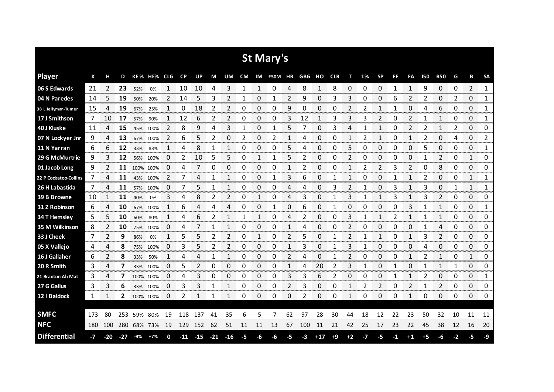|                       |     |       |       |       |             |    |           |       |       |       |           |                      | <b>St Mary's</b> |    |        |       |            |      |      |                |    |              |      |                      |      |                           |               |
|-----------------------|-----|-------|-------|-------|-------------|----|-----------|-------|-------|-------|-----------|----------------------|------------------|----|--------|-------|------------|------|------|----------------|----|--------------|------|----------------------|------|---------------------------|---------------|
| <b>Player</b>         | К   | н     | D     |       | KE% HE% CLG |    | <b>CP</b> | UP    | M     | UM    | <b>CM</b> |                      | IM F50M HR       |    | GBG HO |       | <b>CLR</b> | т    | 1%   | <b>SP</b>      | FF | FA           | 150  | <b>R50</b>           | G    | В                         | <b>SA</b>     |
| 06 S Edwards          | 21  | 2     | 23    | 52%   | 0%          | 1  | 10        | 10    | 4     | 3     | 1         | 1                    | 0                | 4  | 8      | 1     | 8          | 0    | 0    | 0              | 1  | $\mathbf{1}$ | 9    | 0                    | 0    | 2                         | $\mathbf{1}$  |
| 04 N Paredes          | 14  | 5     | 19    | 50%   | 20%         | 2  | 14        | 5     | 3     | 2     |           | 0                    |                  | 2  | 9      | 0     | 3          | 3    | 0    | 0              | 6  |              |      | 0                    | 2    | 0                         | 1             |
| 38 L Jellyman-Tumer   | 15  | 4     | 19    | 67%   | 25%         | 1  | 0         | 18    | 2     | 2     | 0         | 0                    | 0                | 9  | 0      | 0     | 0          | 2    | 2    | 1              | 1  | 0            | 4    | 6                    | 0    | 0                         | 1             |
| 17 J Smithson         | 7   | 10    | 17    | 57%   | 90%         | 1  | 12        | 6     | 2     | 2     | 0         | 0                    | 0                | 3  | 12     | 1     | 3          | 3    | 3    | 2              | 0  | 2            |      | 1                    | 0    | 0                         | 1             |
| 40 J Kluske           | 11  | 4     | 15    | 45%   | 100%        | 2  | 8         | 9     | 4     | 3     | 1         | 0                    | 1                | 5  | 7      | 0     | 3          | 4    |      | $\mathbf{1}$   | 0  | 2            | 2    | 1                    | 2    | 0                         | 0             |
| 07 N Lockyer Jnr      | 9   | 4     | 13    | 67%   | 100%        | 2  | 6         | 5     | 2     | 0     | 2         | 0                    | 2                | 1  | 4      | 0     | 0          | 1    | 2    | 1              | 0  | 1            | 2    | 0                    | 4    | 0                         | 2             |
| 11 N Yarran           | 6   | 6     | 12    | 33%   | 83%         | 1  | 4         | 8     | 1     |       | 0         | 0                    | 0                | 5  | 4      | 0     | 0          | 5    | 0    | 0              | 0  | 0            | 5    | 0                    | 0    | 0                         | 1             |
| 29 G McMurtrie        | 9   | 3     | 12    | 56%   | 100%        | 0  | 2         | 10    | 5     | 5     | 0         | 1                    | 1                | 5  | 2      | 0     | 0          | 2    | Ω    | 0              | 0  | 0            |      | 2                    | 0    | 1                         | 0             |
| 01 Jacob Long         | 9   | 2     | 11    |       | 100% 100%   | 0  | 4         | 7     | 0     | 0     | 0         | 0                    | 0                | 1  | 2      | 0     | 0          | 1    | 2    | $\overline{2}$ | 3  | 2            | 0    | 8                    | 0    | 0                         | 0             |
| 22 P Cockatoo-Collins | 7   | 4     | 11    | 43%   | 100%        | 2  | 7         | 4     | 1     |       | 0         | 0                    | 1                | 3  | 6      | 0     |            | 1    | 0    | 0              |    | 1            | 2    | 0                    | 0    | 1                         | 1             |
| 26 H Labastida        | 7   | 4     | 11    | 57%   | 100%        | 0  | 7         | 5     | 1     |       | 0         | 0                    | 0                | 4  | 4      | 0     | 3          | 2    |      | 0              | 3  |              | 3    | 0                    | 1    | 1                         | 1             |
| 39 B Browne           | 10  |       | 11    | 40%   | 0%          | 3  | 4         | 8     | 2     | 2     | 0         | 1                    | 0                | 4  | 3      | 0     |            | 3    |      | 1              | 3  | 1            |      | 2                    | 0    | 0                         | 0             |
| 31 Z Robinson         | 6   | 4     | 10    | 67%   | 100%        | 1  | 6         | 4     | 4     | 4     | 0         | 0                    | 1                | 0  | 6      | 0     | 1          | 0    | 0    | 0              | 0  | 3            |      | 1                    | 0    | 0                         | 1             |
| 34 T Hemsley          | 5   | 5     | 10    | 60%   | 80%         | 1  | 4         | 6     | 2     |       | 1         | 1                    | 0                | Δ  | 2      | 0     | O          | 3    |      | 1              | 2  | 1            |      | 1                    | 0    | 0                         | 0<br>ananan   |
| 35 M Wilkinson        | 8   | 2     | 10    | 75%   | 100%        | 0  | 4         |       |       |       | 0         | 0<br>ana ana amin'   | 0                |    | 4      | O     | Ω          |      | O    | 0              | 0  | 0            |      | 4                    | 0    | 0<br>www.www.ww           | 0             |
| 33 J Cheek            | 7   | 2     | 9     | 86%   | 0%          |    | 5         | 5     |       |       | O         | <b>START COMPANY</b> | 0                |    | 5      | O     |            |      |      |                |    |              |      | 2<br><b>CONTRACT</b> | O    | 0<br><b>TOTAL CONTROL</b> | 0<br>ananana. |
| 05 X Vallejo          | 4   | 4     | 8     | 75%   | 100%        | 0  | 3         | 5     | 2     | 2     | 0         | 0                    | 0                | 1  | 3      | 0     | 1          | 3    |      | 0              | 0  | 0            | 4    | 0                    | 0    | 0<br>ana ana              | 0<br>www.com  |
| 16 J Gallaher         | 6   | 2     | 8     | 33%   | 50%         | 1  | 4         |       |       |       | 0         | 0                    | 0                | 2  | 4      | O     |            |      | O    | 0              |    |              |      |                      | 0    | 1                         | 0             |
| 20 R Smith            | 3   | 4     | 7     | 33%   | 100%        | 0  | 5         | 2     | 0     | 0     | 0         | 0                    | 0                | 1  | 4      | 20    | 2          | 3    |      | 0              |    | 0            |      | 1                    | 1    | 0                         | 0             |
| 21 Braxton Ah Mat     | 3   | 4     | 7     |       | 100% 100%   | 0  | 4         | 3     | 0     | 0     | 0         | 0<br>omana.          | 0                | 3  | 3      | 6     |            | 0    | Ω    | 0<br>-----     |    | 1            | 2    | 0<br>nom v           | 0    | 0<br>ononno.              | 1<br>monona   |
| 27 G Gallus           | 3   | 3     | 6     |       | 33% 100%    | 0  | 3         | 3     | 1     |       | 0         | 0                    | 0                | 2  | 3      | 0     | 0          | 1    | 2    | 2              | 0  | 2            |      | 2                    | 0    | 0                         | 0             |
| 12   Baldock          | 1   | 1     | 2     |       | 100% 100%   | 0  | 2         | 1     | 1     | 1     | 0         | 0                    | 0                | 0  | 2      | 0     | 0          | 1    | 0    | 0              | 0  | 1            | 0    | 0                    | 0    | 0                         | 0             |
|                       |     |       |       |       |             |    |           |       |       |       |           |                      |                  |    |        |       |            |      |      |                |    |              |      |                      |      |                           |               |
| <b>SMFC</b>           | 173 | 80    | 253   | 59%   | 80%         | 19 | 118       | 137   | 41    | 35    | 6         | 5                    | 7                | 62 | 97     | 28    | 30         | 44   | 18   | 12             | 22 | 23           | 50   | 32                   | 10   | 11                        | 11            |
| <b>NFC</b>            | 180 | 100   | 280   |       | 68% 73%     | 19 | 129       | 152   | 62    | 51    | 11        | 11                   | 13               | 67 | 100    | 11    | 21         | 42   | 25   | 17             | 23 | 22           | 45   | 38                   | 12   | 16                        | 20            |
| <b>Differential</b>   | -7  | $-20$ | $-27$ | $-9%$ | $+7%$       | 0  | $-11$     | $-15$ | $-21$ | $-16$ | -5        | -6                   | -6               | -5 | -3     | $+17$ | $+9$       | $+2$ | $-7$ | -5             | -1 | $+1$         | $+5$ | -6                   | $-2$ | -5                        | -9            |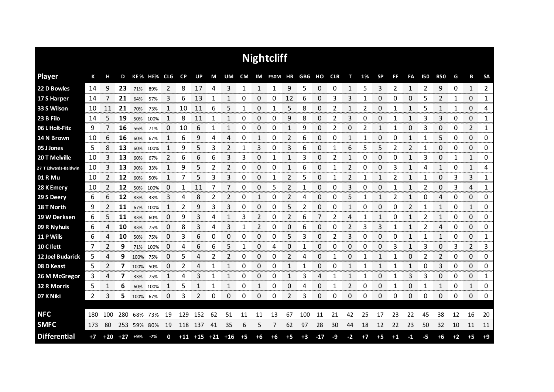|                      |      |       |     |          |             |    |           |                   |    |                |      |      | <b>Nightcliff</b> |               |                       |               |    |      |      |              |      |                |            |                     |      |               |               |
|----------------------|------|-------|-----|----------|-------------|----|-----------|-------------------|----|----------------|------|------|-------------------|---------------|-----------------------|---------------|----|------|------|--------------|------|----------------|------------|---------------------|------|---------------|---------------|
| <b>Player</b>        | К    | н     | D   |          | KE% HE% CLG |    | <b>CP</b> | UP                | M  | UM             | CM   |      |                   |               | IM F50M HR GBG HO CLR |               |    | т    | 1%   | <b>SP</b>    | FF   | FA             | <b>I50</b> | <b>R50</b>          | G    | В             | <b>SA</b>     |
| 22 D Bowles          | 14   | 9     | 23  | 71%      | 89%         | 2  | 8         | 17                | 4  | 3              | 1    | 1    | 1                 | 9             | 5                     | 0             | 0  | 1    | 5    | 3            | 2    | 1              | 2          | 9                   | 0    | $\mathbf{1}$  | 2             |
| 17 S Harper          | 14   |       | 21  | 64%      | 57%         | 3  | 6         | 13                |    |                | 0    | 0    | 0                 | 12            | 6                     | 0             | 3  | 3    |      | 0            | 0    | 0              | 5          | 2                   |      | 0             | 1             |
| 33 S Wilson          | 10   | 11    | 21  | 70%      | 73%         |    | 10        | 11                | 6  | 5              | 1    | 0    |                   | 5             | 8                     | 0             | 2  |      | 2    | 0            |      | 1              | 5          |                     |      | 0             | 4             |
| 23 B Filo            | 14   | 5     | 19  | 50%      | 100%        | 1  | 8         | 11                | 1  | 1              | 0    | 0    | 0                 | 9             | 8                     | 0             | 2  | 3    | 0    | 0            |      | 1              | 3          | 3                   | 0    | 0             | 1             |
| 06 L Holt-Fitz       | 9    |       | 16  | 56%      | 71%         | 0  | 10        | 6                 | 1  | 1              | 0    | 0    | 0                 | $\mathbf{1}$  | 9                     | 0             | 2  | 0    | 2    | $\mathbf{1}$ | 1    | 0              | 3          | 0                   | 0    | 2             | 1             |
| 14 N Brown           | 10   | 6     | 16  | 60%      | 67%         | 1  | 6         | 9                 | 4  | 4              | 0    | 1    | 0                 | 2             | 6                     | 0             | 0  | 1    | 1    | 0            | 0    | 1              | 1          | 5                   | 0    | $\Omega$      | 0             |
| 05 J Jones           | 5    | 8     | 13  | 60%      | 100%        |    | 9         | 5                 | 3  | 2              | 1    | 3    | 0                 | 3             | 6                     | 0             |    | 6    | 5    | 5            | 2    | 2              |            | 0                   | 0    | 0             | 0             |
| 20 T Melville        | 10   | 3     | 13  | 60%      | 67%         | 2  | 6         | 6                 | 6  | 3              | 3    | 0    | 1                 | 1             | 3                     | 0             | 2  | 1    | 0    | 0            | 0    | 1              | 3          | 0                   | 1    | 1             | 0             |
| 27 T Edwards-Baldwin | 10   | 3     | 13  | 90%      | 33%         | 1  | 9         | 5                 | 2  | $\overline{2}$ | 0    | 0    | 0                 | 1             | 6                     | $\pmb{0}$     | 1  | 2    | 0    | 0            | 3    | 1              | 4          | $\mathbf{1}$        | 0    | 1             | 4             |
| 01 R Mu              | 10   | 2     | 12  | 60%      | 50%         | 1  | 7         | 5                 | 3  | 3              | 0    | 0    | 1                 | 2             | 5                     | 0             | 1  | 2    |      | 1            | 2    | 1              | 1          | 0                   | 3    | 3             | 1             |
| 28 K Emery           | 10   | 2     | 12  | 50%      | 100%        | 0  | 1         | 11                | 7  | 7              | 0    | 0    | 5                 | 2             | 1                     | 0             | 0  | 3    | 0    | 0            |      | 1              | 2          | 0                   | 3    | 4             | 1             |
| 29 S Deery           | 6    | 6     | 12  | 83%      | 33%         | 3  | 4         | 8                 | 2  | 2              | 0    | 1    | 0                 | 2             | 4                     | 0             | 0  | 5    |      | 1            | 2    | 1              | 0          | 4                   | 0    | 0             | 0             |
| 18 T North           | 9    | 2     | 11  | 67%      | 100%        | 1  | 2         | 9                 | 3  | 3              | 0    | 0    | 0                 | 5             | 2                     | 0             | 0  | 1    | 0    | 0            | 0    | $\overline{2}$ |            | 1                   | 0    | 1             | 0             |
| 19 W Derksen         | 6    |       | 11  | 83%      | 60%         | 0  | 9         | 3                 | 4  |                | 3    | 2    | 0                 | 2             | 6                     |               |    | 4    |      | 1            | O    | 1              |            |                     | 0    | 0<br>an an an | 0<br>ononcor  |
| 09 R Nyhuis          | 6    | 4     | 10  | 83%      | 75%         | 0  | 8         | 3                 | 4  | 3              | 1    | 2    | 0                 | 0<br>anan men | 6                     | O<br>an an an | 0  |      | 3    | 3            |      |                |            | 4                   | 0    | 0<br>www.com  | 0<br>ana mata |
| 11 P Wills           | 6    | 4     | 10  | 50%      | 75%         | 0  | 3         | 6                 | 0  | 0              | 0    | 0    | 0                 | 5             | 3                     | O             |    | 3    | O    | O            | Ω    |                |            |                     | O    | 0<br>manan a  | 1<br>omonom   |
| 10 C I lett          | 7    | 2     | 9   |          | 71% 100%    | 0  | 4         | 6                 | 6  | 5              | 1    | 0    | 4                 | 0             |                       | 0             | 0  | 0    | 0    | 0            | 3    |                | 3          | 0<br><b>Service</b> | 3    | 2             | 3             |
| 12 Joel Budarick     | 5    | 4     | 9   | 100% 75% |             | 0  | 5         |                   | 2  | 2              | 0    | O    | 0                 | 2             | 4                     | 0             |    | 0    |      |              |      | 0              |            | 2                   | 0    | 0             | 0             |
| 08 D Keast           | 5    | 2     | 7   | 100%     | 50%         | 0  | 2         | 4                 | 1  |                | 0    | 0    | 0                 | 1             |                       | 0             | 0  | 1    |      | 1            |      | 1              | 0          | 3                   | 0    | 0             | 0             |
| 26 M McGregor        | 3    | 4     | 7   | 33%      | 75%         |    | 4         | 3                 | 1  | 1              | 0    | 0    | 0                 | 1             | 3                     | 4             | 1  | 1    |      | 0            |      | 3              | 3          | 0                   | 0    | 0             | 1             |
| 32 R Morris          | 5    | 1     | 6   | 60%      | 100%        | 1  | 5         | 1                 | 1  | 1              | 0    | 1    | 0                 | 0             | 4                     | 0             | 1  | 2    | 0    | 0            | 1    | 0              | 1          | 1                   | 0    | 1             | 0             |
| 07 K Niki            | 2    | 3     | 5.  | 100%     | 67%         | 0  | 3         | 2                 | 0  | 0              | 0    | 0    | 0                 | 2             | 3                     | 0             | 0  | 0    | 0    | 0            | 0    | $\Omega$       | 0          | 0                   | 0    | 0             | 0             |
|                      |      |       |     |          |             |    |           |                   |    |                |      |      |                   |               |                       |               |    |      |      |              |      |                |            |                     |      |               |               |
| <b>NFC</b>           | 180  | 100   | 280 | 68%      | 73%         | 19 | 129       | 152               | 62 | 51             | 11   | 11   | 13                | 67            | 100                   | 11            | 21 | 42   | 25   | 17           | 23   | 22             | 45         | 38                  | 12   | 16            | 20            |
| <b>SMFC</b>          | 173  | 80    | 253 | 59% 80%  |             | 19 | 118       | 137               | 41 | 35             | 6    | 5    | 7                 | 62            | 97                    | 28            | 30 | 44   | 18   | 12           | 22   | 23             | 50         | 32                  | 10   | 11            | 11            |
| <b>Differential</b>  | $+7$ | $+20$ | +27 | +9%      | -7%         | 0  |           | $+11$ $+15$ $+21$ |    | $+16$          | $+5$ | $+6$ | $+6$              | $+5$          | $+3$                  | $-17$         | -9 | $-2$ | $+7$ | $+5$         | $+1$ | $-1$           | -5         | $+6$                | $+2$ | $+5$          | $+9$          |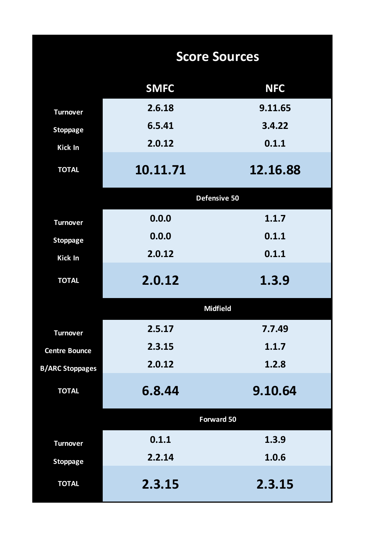|                        |             | <b>Score Sources</b> |
|------------------------|-------------|----------------------|
|                        | <b>SMFC</b> | <b>NFC</b>           |
| <b>Turnover</b>        | 2.6.18      | 9.11.65              |
| <b>Stoppage</b>        | 6.5.41      | 3.4.22               |
| <b>Kick In</b>         | 2.0.12      | 0.1.1                |
| <b>TOTAL</b>           | 10.11.71    | 12.16.88             |
|                        |             | Defensive 50         |
| <b>Turnover</b>        | 0.0.0       | 1.1.7                |
| <b>Stoppage</b>        | 0.0.0       | 0.1.1                |
| <b>Kick In</b>         | 2.0.12      | 0.1.1                |
| <b>TOTAL</b>           | 2.0.12      | 1.3.9                |
|                        |             | <b>Midfield</b>      |
| <b>Turnover</b>        | 2.5.17      | 7.7.49               |
| <b>Centre Bounce</b>   | 2.3.15      | 1.1.7                |
| <b>B/ARC Stoppages</b> | 2.0.12      | 1.2.8                |
| <b>TOTAL</b>           | 6.8.44      | 9.10.64              |
|                        |             | <b>Forward 50</b>    |
| <b>Turnover</b>        | 0.1.1       | 1.3.9                |
| <b>Stoppage</b>        | 2.2.14      | 1.0.6                |
| <b>TOTAL</b>           | 2.3.15      | 2.3.15               |